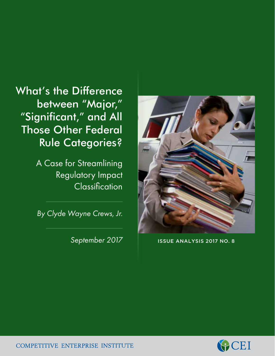What's the Difference between "Major," "Significant," and All Those Other Federal Rule Categories?

> A Case for Streamlining Regulatory Impact **Classification**

*By Clyde Wayne Crews, Jr.*

*September 2017*



ISSUE ANALYSIS 2017 NO. 8



**COMPETITIVE ENTERPRISE INSTITUTE**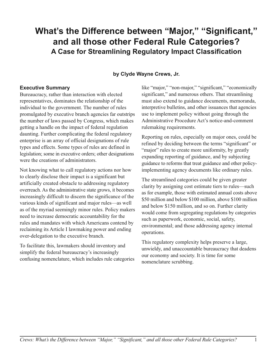# **What's the Difference between "Major," "Significant," and all those other Federal Rule Categories? A Case for Streamlining Regulatory Impact Classification**

### **by Clyde Wayne Crews, Jr.**

#### **Executive Summary**

Bureaucracy, rather than interaction with elected representatives, dominates the relationship of the individual to the government. The number of rules promulgated by executive branch agencies far outstrips the number of laws passed by Congress, which makes getting a handle on the impact of federal regulation daunting. Further complicating the federal regulatory enterprise is an array of official designations of rule types and effects. Some types of rules are defined in legislation; some in executive orders; other designations were the creations of administrators.

Not knowing what to call regulatory actions nor how to clearly disclose their impact is a significant but artificially created obstacle to addressing regulatory overreach. As the administrative state grows, it becomes increasingly difficult to discern the significance of the various kinds of significant and major rules—as well as of the myriad seemingly minor rules. Policy makers need to increase democratic accountability for the rules and mandates with which Americans contend by reclaiming its Article I lawmaking power and ending over-delegation to the executive branch.

To facilitate this, lawmakers should inventory and simplify the federal bureaucracy's increasingly confusing nomenclature, which includes rule categories like "major," "non-major," "significant," "economically significant," and numerous others. That streamlining must also extend to guidance documents, memoranda, interpretive bulletins, and other issuances that agencies use to implement policy without going through the Administrative Procedure Act's notice-and-comment rulemaking requirements.

Reporting on rules, especially on major ones, could be refined by deciding between the terms "significant" or "major" rules to create more uniformity, by greatly expanding reporting of guidance, and by subjecting guidance to reforms that treat guidance and other policyimplementing agency documents like ordinary rules.

The streamlined categories could be given greater clarity by assigning cost estimate tiers to rules—such as for example, those with estimated annual costs above \$50 million and below \$100 million, above \$100 million and below \$150 million, and so on. Further clarity would come from segregating regulations by categories such as paperwork, economic, social, safety, environmental; and those addressing agency internal operations.

This regulatory complexity helps preserve a large, unwieldy, and unaccountable bureaucracy that deadens our economy and society. It is time for some nomenclature scrubbing.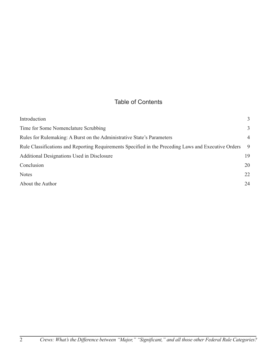## Table of Contents

| Introduction                                                                                         | 3              |
|------------------------------------------------------------------------------------------------------|----------------|
| Time for Some Nomenclature Scrubbing                                                                 | 3              |
| Rules for Rulemaking: A Burst on the Administrative State's Parameters                               | $\overline{4}$ |
| Rule Classifications and Reporting Requirements Specified in the Preceding Laws and Executive Orders | 9              |
| Additional Designations Used in Disclosure                                                           | 19             |
| Conclusion                                                                                           | 20             |
| <b>Notes</b>                                                                                         | 22             |
| About the Author                                                                                     | 24             |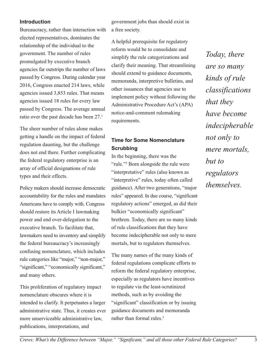#### **Introduction**

Bureaucracy, rather than interaction with elected representatives, dominates the relationship of the individual to the government. The number of rules promulgated by executive branch agencies far outstrips the number of laws passed by Congress. During calendar year 2016, Congress enacted 214 laws, while agencies issued 3,853 rules. That means agencies issued 18 rules for every law passed by Congress. The average annual ratio over the past decade has been 27.1

The sheer number of rules alone makes getting a handle on the impact of federal regulation daunting, but the challenge does not end there. Further complicating the federal regulatory enterprise is an array of official designations of rule types and their effects.

Policy makers should increase democratic accountability for the rules and mandates Americans have to comply with. Congress should restore its Article I lawmaking power and end over-delegation to the executive branch. To facilitate that, lawmakers need to inventory and simplify the federal bureaucracy's increasingly confusing nomenclature, which includes rule categories like "major," "non-major," "significant," "economically significant," and many others.

This proliferation of regulatory impact nomenclature obscures where it is intended to clarify. It perpetuates a larger administrative state. Thus, it creates ever more unserviceable administrative law, publications, interpretations, and

government jobs than should exist in a free society.

A helpful prerequisite for regulatory reform would be to consolidate and simplify the rule categorizations and clarify their meaning. That streamlining should extend to guidance documents, memoranda, interpretive bulletins, and other issuances that agencies use to implement policy without following the Administrative Procedure Act's (APA) notice-and-comment rulemaking requirements.

### **Time for Some Nomenclature Scrubbing**

In the beginning, there was the "rule."<sup>2</sup> Born alongside the rule were "interpretative" rules (also known as "interpretive" rules, today often called guidance). After two generations, "major rules" appeared. In due course, "significant regulatory actions" emerged, as did their bulkier "economically significant" brethren. Today, there are so many kinds of rule classifications that they have become indecipherable not only to mere mortals, but to regulators themselves.

The many names of the many kinds of federal regulations complicate efforts to reform the federal regulatory enterprise, especially as regulators have incentives to regulate via the least-scrutinized methods, such as by avoiding the "significant" classification or by issuing guidance documents and memoranda rather than formal rules.<sup>3</sup>

*Today, there are so many kinds of rule classifications that they have become indecipherable not only to mere mortals, but to regulators themselves.*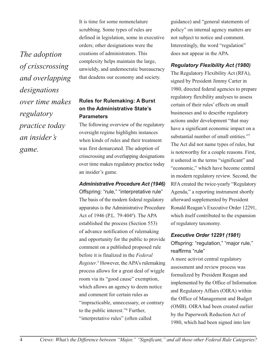*The adoption of crisscrossing and overlapping designations over time makes regulatory practice today an insider's game.*

It is time for some nomenclature scrubbing. Some types of rules are defined in legislation, some in executive orders; other designations were the creations of administrators. This complexity helps maintain the large, unwieldy, and undemocratic bureaucracy that deadens our economy and society.

### **Rules for Rulemaking: A Burst on the Administrative State's Parameters**

The following overview of the regulatory oversight regime highlights instances when kinds of rules and their treatment was first demarcated. The adoption of crisscrossing and overlapping designations over time makes regulatory practice today an insider's game.

#### *Administrative Procedure Act (1946)*

Offspring: "rule," "interpretative rule" The basis of the modern federal regulatory apparatus is the Administrative Procedure Act of 1946 (P.L. 79-404<sup>4</sup>). The APA established the process (Section 553) of advance notification of rulemaking and opportunity for the public to provide comment on a published proposed rule before it is finalized in the *Federal Register*. <sup>5</sup> However, the APA's rulemaking process allows for a great deal of wiggle room via its "good cause" exemption, which allows an agency to deem notice and comment for certain rules as "impracticable, unnecessary, or contrary to the public interest."6 Further, "interpretative rules" (often called

guidance) and "general statements of policy" on internal agency matters are not subject to notice and comment. Interestingly, the word "regulation" does not appear in the APA.

### *Regulatory Flexibility Act (1980)*

The Regulatory Flexibility Act (RFA), signed by President Jimmy Carter in 1980, directed federal agencies to prepare regulatory flexibility analyses to assess certain of their rules' effects on small businesses and to describe regulatory actions under development "that may have a significant economic impact on a substantial number of small entities."7 The Act did not name types of rules, but is noteworthy for a couple reasons. First, it ushered in the terms "significant" and "economic," which have become central in modern regulatory review. Second, the RFA created the twice-yearly "Regulatory Agenda," a reporting instrument shortly afterward supplemented by President Ronald Reagan's Executive Order 12291, which itself contributed to the expansion of regulatory taxonomy.

### *Executive Order 12291 (1981)*

Offspring: "regulation," "major rule," reaffirms "rule"

A more activist central regulatory assessment and review process was formalized by President Reagan and implemented by the Office of Information and Regulatory Affairs (OIRA) within the Office of Management and Budget (OMB). OIRA had been created earlier by the Paperwork Reduction Act of 1980, which had been signed into law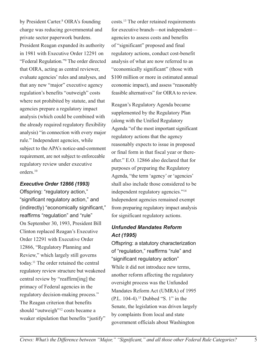by President Carter.<sup>8</sup> OIRA's founding charge was reducing governmental and private sector paperwork burdens. President Reagan expanded its authority in 1981 with Executive Order 12291 on "Federal Regulation."9 The order directed that OIRA, acting as central reviewer, evaluate agencies' rules and analyses, and that any new "major" executive agency regulation's benefits "outweigh" costs where not prohibited by statute, and that agencies prepare a regulatory impact analysis (which could be combined with the already required regulatory flexibility analysis) "in connection with every major rule." Independent agencies, while subject to the APA's notice-and-comment requirement, are not subject to enforceable regulatory review under executive orders.10

#### *Executive Order 12866 (1993)*

Offspring: "regulatory action," "significant regulatory action," and (indirectly) "economically significant," reaffirms "regulation" and "rule" On September 30, 1993, President Bill Clinton replaced Reagan's Executive Order 12291 with Executive Order 12866, "Regulatory Planning and Review," which largely still governs today.11 The order retained the central regulatory review structure but weakened central review by "reaffirm[ing] the primacy of Federal agencies in the regulatory decision-making process." The Reagan criterion that benefits should "outweigh"<sup>12</sup> costs became a weaker stipulation that benefits "justify"

costs.13 The order retained requirements for executive branch—not independent agencies to assess costs and benefits of "significant" proposed and final regulatory actions, conduct cost-benefit analysis of what are now referred to as "economically significant" (those with \$100 million or more in estimated annual economic impact), and assess "reasonably feasible alternatives" for OIRA to review.

Reagan's Regulatory Agenda became supplemented by the Regulatory Plan (along with the Unified Regulatory Agenda "of the most important significant regulatory actions that the agency reasonably expects to issue in proposed or final form in that fiscal year or thereafter." E.O. 12866 also declared that for purposes of preparing the Regulatory Agenda, "the term 'agency' or 'agencies' shall also include those considered to be independent regulatory agencies."14 Independent agencies remained exempt from preparing regulatory impact analysis for significant regulatory actions.

### *Unfunded Mandates Reform Act (1995)*

Offspring: a statutory characterization of "regulation," reaffirms "rule" and "significant regulatory action" While it did not introduce new terms, another reform affecting the regulatory oversight process was the Unfunded Mandates Reform Act (UMRA) of 1995 (P.L. 104-4).15 Dubbed "S. 1" in the Senate, the legislation was driven largely by complaints from local and state government officials about Washington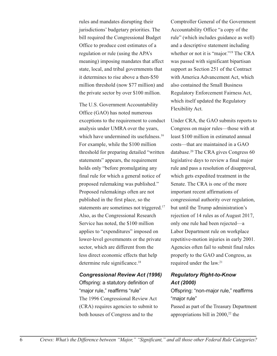rules and mandates disrupting their jurisdictions' budgetary priorities. The bill required the Congressional Budget Office to produce cost estimates of a regulation or rule (using the APA's meaning) imposing mandates that affect state, local, and tribal governments that it determines to rise above a then-\$50 million threshold (now \$77 million) and the private sector by over \$100 million.

The U.S. Government Accountability Office (GAO) has noted numerous exceptions to the requirement to conduct analysis under UMRA over the years, which have undermined its usefulness.<sup>16</sup> For example, while the \$100 million threshold for preparing detailed "written statements" appears, the requirement holds only "before promulgating any final rule for which a general notice of proposed rulemaking was published." Proposed rulemakings often are not published in the first place, so the statements are sometimes not triggered.<sup>17</sup> Also, as the Congressional Research Service has noted, the \$100 million applies to "expenditures" imposed on lower-level governments or the private sector, which are different from the less direct economic effects that help determine rule significance.<sup>18</sup>

#### *Congressional Review Act (1996)*

Offspring: a statutory definition of "major rule," reaffirms "rule" The 1996 Congressional Review Act (CRA) requires agencies to submit to both houses of Congress and to the

Comptroller General of the Government Accountability Office "a copy of the rule" (which includes guidance as well) and a descriptive statement including whether or not it is "major."19 The CRA was passed with significant bipartisan support as Section 251 of the Contract with America Advancement Act, which also contained the Small Business Regulatory Enforcement Fairness Act, which itself updated the Regulatory Flexibility Act.

Under CRA, the GAO submits reports to Congress on major rules—those with at least \$100 million in estimated annual costs—that are maintained in a GAO database.20 The CRA gives Congress 60 legislative days to review a final major rule and pass a resolution of disapproval, which gets expedited treatment in the Senate. The CRA is one of the more important recent affirmations of congressional authority over regulation, but until the Trump administration's rejection of 14 rules as of August 2017, only one rule had been rejected—a Labor Department rule on workplace repetitive-motion injuries in early 2001. Agencies often fail to submit final rules properly to the GAO and Congress, as required under the law.21

### *Regulatory Right-to-Know Act (2000)*

Offspring: "non-major rule," reaffirms "major rule"

Passed as part of the Treasury Department appropriations bill in  $2000$ ,<sup>22</sup> the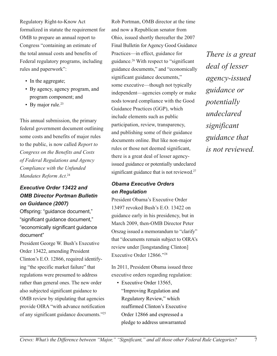Regulatory Right-to-Know Act formalized in statute the requirement for OMB to prepare an annual report to Congress "containing an estimate of the total annual costs and benefits of Federal regulatory programs, including rules and paperwork":

- In the aggregate;
- By agency, agency program, and program component; and
- By major rule.<sup>23</sup>

This annual submission, the primary federal government document outlining some costs and benefits of major rules to the public, is now called *Report to Congress on the Benefits and Costs of Federal Regulations and Agency Compliance with the Unfunded Mandates Reform Act*. 24

### *Executive Order 13422 and OMB Director Portman Bulletin on Guidance (2007)*

Offspring: "guidance document," "significant guidance document," "economically significant guidance document"

President George W. Bush's Executive Order 13422, amending President Clinton's E.O. 12866, required identifying "the specific market failure" that regulations were presumed to address rather than general ones. The new order also subjected significant guidance to OMB review by stipulating that agencies provide OIRA "with advance notification of any significant guidance documents."25 Rob Portman, OMB director at the time and now a Republican senator from Ohio, issued shortly thereafter the 2007 Final Bulletin for Agency Good Guidance Practices—in effect, guidance for guidance.26 With respect to "significant guidance documents," and "economically significant guidance documents," some executive—though not typically independent—agencies comply or make nods toward compliance with the Good Guidance Practices (GGP), which include elements such as public participation, review, transparency, and publishing some of their guidance documents online. But like non-major rules or those not deemed significant, there is a great deal of lesser agencyissued guidance or potentially undeclared significant guidance that is not reviewed.<sup>27</sup>

### *Obama Executive Orders on Regulation*

President Obama's Executive Order 13497 revoked Bush's E.O. 13422 on guidance early in his presidency, but in March 2009, then-OMB Director Peter Orszag issued a memorandum to "clarify" that "documents remain subject to OIRA's review under [longstanding Clinton] Executive Order 12866."28

In 2011, President Obama issued three executive orders regarding regulation:

• Executive Order 13565, "Improving Regulation and Regulatory Review," which reaffirmed Clinton's Executive Order 12866 and expressed a pledge to address unwarranted

*There is a great deal of lesser agency-issued guidance or potentially undeclared significant guidance that is not reviewed.*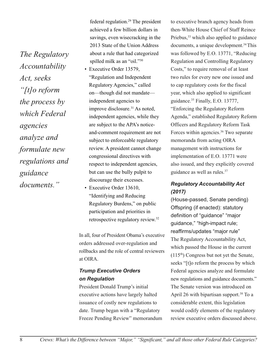*The Regulatory Accountability Act, seeks "[t]o reform the process by which Federal agencies analyze and formulate new regulations and guidance documents."*

federal regulation.29 The president achieved a few billion dollars in savings, even wisecracking in the 2013 State of the Union Address about a rule that had categorized spilled milk as an "oil."30

- Executive Order 13579, "Regulation and Independent Regulatory Agencies," called on—though did not mandate independent agencies to improve disclosure.<sup>31</sup> As noted, independent agencies, while they are subject to the APA's noticeand-comment requirement are not subject to enforceable regulatory review. A president cannot change congressional directives with respect to independent agencies, but can use the bully pulpit to discourage their excesses.
- Executive Order 13610, "Identifying and Reducing Regulatory Burdens," on public participation and priorities in retrospective regulatory review.32

In all, four of President Obama's executive orders addressed over-regulation and rollbacks and the role of central reviewers at OIRA.

### *Trump Executive Orders on Regulation*

President Donald Trump's initial executive actions have largely halted issuance of costly new regulations to date. Trump began with a "Regulatory Freeze Pending Review" memorandum to executive branch agency heads from then-White House Chief of Staff Reince Priebus,<sup>33</sup> which also applied to guidance documents, a unique development.34This was followed by E.O. 13771, "Reducing Regulation and Controlling Regulatory Costs," to require removal of at least two rules for every new one issued and to cap regulatory costs for the fiscal year, which also applied to significant guidance.35 Finally, E.O. 13777, "Enforcing the Regulatory Reform Agenda," established Regulatory Reform Officers and Regulatory Reform Task Forces within agencies.36 Two separate memoranda from acting OIRA management with instructions for implementation of E.O. 13771 were also issued, and they explicitly covered guidance as well as rules.37

### *Regulatory Accountability Act (2017)*

(House-passed, Senate pending) Offspring (if enacted): statutory definition of "guidance" "major guidance," "high-impact rule; reaffirms/updates "major rule" The Regulatory Accountability Act, which passed the House in the current (115th) Congress but not yet the Senate, seeks "[t]o reform the process by which Federal agencies analyze and formulate new regulations and guidance documents." The Senate version was introduced on April 26 with bipartisan support.<sup>38</sup> To a considerable extent, this legislation would codify elements of the regulatory review executive orders discussed above.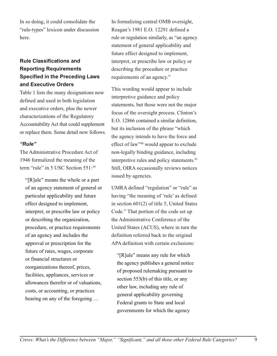In so doing, it could consolidate the "rule-types" lexicon under discussion here.

### **Rule Classifications and Reporting Requirements Specified in the Preceding Laws and Executive Orders**

Table 1 lists the many designations now defined and used in both legislation and executive orders, plus the newer characterizations of the Regulatory Accountability Act that could supplement or replace them. Some detail now follows.

#### *"Rule"*

The Administrative Procedure Act of 1946 formalized the meaning of the term "rule" in 5 USC Section 551:<sup>39</sup>

"[R]ule" means the whole or a part of an agency statement of general or particular applicability and future effect designed to implement, interpret, or prescribe law or policy or describing the organization, procedure, or practice requirements of an agency and includes the approval or prescription for the future of rates, wages, corporate or financial structures or reorganizations thereof, prices, facilities, appliances, services or allowances therefor or of valuations, costs, or accounting, or practices bearing on any of the foregoing …

In formalizing central OMB oversight, Reagan's 1981 E.O. 12291 defined a rule or regulation similarly, as "an agency statement of general applicability and future effect designed to implement, interpret, or prescribe law or policy or describing the procedure or practice requirements of an agency."

This wording would appear to include interpretive guidance and policy statements, but those were not the major focus of the oversight process. Clinton's E.O. 12866 contained a similar definition, but its inclusion of the phrase "which the agency intends to have the force and effect of law"40 would appear to exclude non-legally binding guidance, including interpretive rules and policy statements.<sup>41</sup> Still, OIRA occasionally reviews notices issued by agencies.

UMRA defined "regulation" or "rule" as having "the meaning of 'rule' as defined in section 601(2) of title 5, United States Code." That portion of the code set up the Administrative Conference of the United States (ACUS), where in turn the definition referred back to the original APA definition with certain exclusions:

"[R]ule" means any rule for which the agency publishes a general notice of proposed rulemaking pursuant to section 553(b) of this title, or any other law, including any rule of general applicability governing Federal grants to State and local governments for which the agency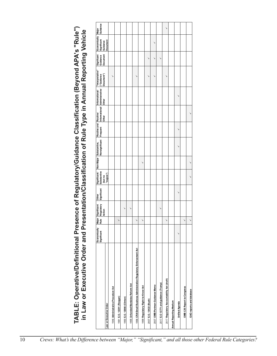| TABLE: Operative/Definitional Presence of Regulatory/Guidance Classification (Beyond APA's "Rule"<br>in Law or Executive Order and Presentation/Classification of Rule Type in Annual Reporting Vehicle | Economically<br>Significant | Major<br>Rule | Significant<br>Regulatory<br>Action | Other<br>Significant |                                                     |            | Non-Major Substantive,<br>Nonsignificant |   | Routine and Routine/<br>Frequent Informational/<br>Other | Informational/<br>  Administrative/<br>  Other | "Interpretative"<br>("Guidance<br>Document") | Signficant<br>Guidance<br>Document |                                                                      | Major<br>Guidance |
|---------------------------------------------------------------------------------------------------------------------------------------------------------------------------------------------------------|-----------------------------|---------------|-------------------------------------|----------------------|-----------------------------------------------------|------------|------------------------------------------|---|----------------------------------------------------------|------------------------------------------------|----------------------------------------------|------------------------------------|----------------------------------------------------------------------|-------------------|
| Law or Executive Order                                                                                                                                                                                  |                             |               |                                     |                      | Significant/<br>Substantive<br>(but no<br>"majors") |            |                                          |   |                                                          |                                                |                                              |                                    | Economically <mark> </mark><br>Significant  <br>Guidance<br>Document |                   |
| 1946 Administrative Procedure Act                                                                                                                                                                       |                             |               |                                     |                      |                                                     |            |                                          |   |                                                          |                                                | $\checkmark$                                 |                                    |                                                                      |                   |
| 1981 E.O. 12291 (Reagan)                                                                                                                                                                                |                             | ↘             |                                     |                      |                                                     |            |                                          |   |                                                          |                                                |                                              |                                    |                                                                      |                   |
| 1993 E.O. 12866 (Clinton)                                                                                                                                                                               |                             |               | ↘                                   |                      |                                                     |            |                                          |   |                                                          |                                                |                                              |                                    |                                                                      |                   |
| 1995 Unfunded Mandates Reform Act                                                                                                                                                                       |                             |               | $\checkmark$                        |                      |                                                     |            |                                          |   |                                                          |                                                |                                              |                                    |                                                                      |                   |
| 1996 CRA/Small Business Administration Regulatory Enforcement Act                                                                                                                                       |                             | $\checkmark$  |                                     |                      |                                                     |            |                                          |   |                                                          |                                                | $\checkmark$                                 |                                    |                                                                      |                   |
| 1999 Regulatory Right-to-Know Act                                                                                                                                                                       |                             | $\checkmark$  |                                     |                      |                                                     | $\check{}$ |                                          |   |                                                          |                                                |                                              |                                    |                                                                      |                   |
| 2007 E.O. 13422 (Bush)                                                                                                                                                                                  |                             |               |                                     |                      |                                                     |            |                                          |   |                                                          |                                                | $\blacktriangleright$                        | ↘                                  |                                                                      |                   |
| 2007 OMB/Portman Guidance Memo                                                                                                                                                                          |                             |               |                                     |                      |                                                     |            |                                          |   |                                                          |                                                | ↘                                            | ↘                                  | ゝ                                                                    |                   |
| 2017 E.O 13771 and guidance (Trump)                                                                                                                                                                     |                             |               | ↘                                   |                      |                                                     |            |                                          |   |                                                          |                                                |                                              | $\check{}$                         |                                                                      |                   |
| 2017 Regulatory Accountability Act (draft)                                                                                                                                                              |                             | ↘             |                                     |                      |                                                     |            |                                          |   |                                                          |                                                | ゝ                                            |                                    |                                                                      | ↘                 |
| <b>Annual Reporting Medium</b>                                                                                                                                                                          |                             |               |                                     |                      |                                                     |            |                                          |   |                                                          |                                                |                                              |                                    |                                                                      |                   |
| <b>Unified Agenda</b>                                                                                                                                                                                   | ↘                           |               |                                     | ゝ                    |                                                     |            | ↘                                        | ゝ |                                                          |                                                |                                              |                                    |                                                                      |                   |
| OMB C/B Report to Congress                                                                                                                                                                              |                             | ↘             |                                     |                      |                                                     |            |                                          |   |                                                          |                                                |                                              |                                    |                                                                      |                   |
| GAO reports and database                                                                                                                                                                                |                             | $\checkmark$  |                                     |                      | $\check{}$                                          | $\check{}$ |                                          |   | $\check{}$                                               |                                                |                                              |                                    |                                                                      |                   |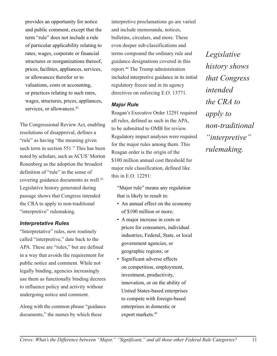provides an opportunity for notice and public comment, except that the term "rule" does not include a rule of particular applicability relating to rates, wages, corporate or financial structures or reorganizations thereof, prices, facilities, appliances, services, or allowances therefor or to valuations, costs or accounting, or practices relating to such rates, wages, structures, prices, appliances, services, or allowances.<sup>42</sup>

The Congressional Review Act, enabling resolutions of disapproval, defines a "rule" as having "the meaning given such term in section 551." This has been noted by scholars, such as ACUS' Morton Rosenberg as the adoption the broadest definition of "rule" in the sense of covering guidance documents as well.43 Legislative history generated during passage shows that Congress intended the CRA to apply to non-traditional "interpretive" rulemaking.

### *Interpretative Rules*

"Interpretative" rules, now routinely called "interpretive," date back to the APA. These are "rules," but are defined in a way that avoids the requirement for public notice and comment. While not legally binding, agencies increasingly use them as functionally binding decrees to influence policy and activity without undergoing notice and comment.

Along with the common phrase "guidance documents," the names by which these

interpretive proclamations go are varied and include memoranda, notices, bulletins, circulars, and more. These even deeper sub-classifications and terms compound the ordinary rule and guidance designations covered in this report.44 The Trump administration included interpretive guidance in its initial regulatory freeze and in its agency directives on enforcing E.O. 13771.

#### *Major Rule*

Reagan's Executive Order 12291 required all rules, defined as such in the APA, to be submitted to OMB for review. Regulatory impact analyses were required for the major rules among them. This Reagan order is the origin of the \$100 million annual cost threshold for major rule classification, defined like this in E.O. 12291:

"Major rule" means any regulation that is likely to result in:

- An annual effect on the economy of \$100 million or more;
- A major increase in costs or prices for consumers, individual industries, Federal, State, or local government agencies, or geographic regions; or
- Significant adverse effects on competition, employment, investment, productivity, innovation, or on the ability of United States-based enterprises to compete with foreign-based enterprises in domestic or export markets.<sup>45</sup>

*Legislative history shows that Congress intended the CRA to apply to non-traditional "interpretive" rulemaking.*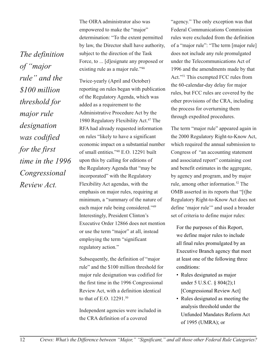*The definition of "major rule" and the \$100 million threshold for major rule designation was codified for the first time in the 1996 Congressional Review Act.*

The OIRA administrator also was empowered to make the "major" determination: "To the extent permitted by law, the Director shall have authority, subject to the direction of the Task Force, to ... [d]esignate any proposed or existing rule as a major rule."46

Twice-yearly (April and October) reporting on rules began with publication of the Regulatory Agenda, which was added as a requirement to the Administrative Procedure Act by the 1980 Regulatory Flexibility Act.<sup>47</sup> The RFA had already requested information on rules "likely to have a significant economic impact on a substantial number of small entities."48 E.O. 12291 built upon this by calling for editions of the Regulatory Agenda that "may be incorporated" with the Regulatory Flexibility Act agendas, with the emphasis on major rules, requiring at minimum, a "summary of the nature of each major rule being considered."49 Interestingly, President Clinton's Executive Order 12866 does not mention or use the term "major" at all, instead employing the term "significant regulatory action."

Subsequently, the definition of "major rule" and the \$100 million threshold for major rule designation was codified for the first time in the 1996 Congressional Review Act, with a definition identical to that of E.O. 12291.50

Independent agencies were included in the CRA definition of a covered

"agency." The only exception was that Federal Communications Commission rules were excluded from the definition of a "major rule": "The term [major rule] does not include any rule promulgated under the Telecommunications Act of 1996 and the amendments made by that Act."51 This exempted FCC rules from the 60-calendar-day delay for major rules, but FCC rules are covered by the other provisions of the CRA, including the process for overturning them through expedited procedures.

The term "major rule" appeared again in the 2000 Regulatory Right-to-Know Act, which required the annual submission to Congress of "an accounting statement and associated report" containing cost and benefit estimates in the aggregate, by agency and program, and by major rule, among other information.52 The OMB asserted in its reports that "[t]he Regulatory Right-to-Know Act does not define 'major rule'" and used a broader set of criteria to define major rules:

For the purposes of this Report, we define major rules to include all final rules promulgated by an Executive Branch agency that meet at least one of the following three conditions:

- Rules designated as major under 5 U.S.C. § 804(2);1 [Congressional Review Act]
- Rules designated as meeting the analysis threshold under the Unfunded Mandates Reform Act of 1995 (UMRA); or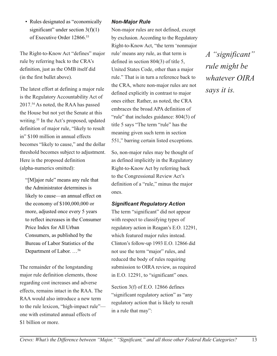• Rules designated as "economically significant" under section  $3(f)(1)$ of Executive Order 12866.53

The Right-to-Know Act "defines" major rule by referring back to the CRA's definition, just as the OMB itself did (in the first bullet above).

The latest effort at defining a major rule is the Regulatory Accountability Act of 2017.54 As noted, the RAA has passed the House but not yet the Senate at this writing.<sup>55</sup> In the Act's proposed, updated definition of major rule, "likely to result in" \$100 million in annual effects becomes "likely to cause," and the dollar threshold becomes subject to adjustment. Here is the proposed definition (alpha-numerics omitted):

"[M]ajor rule" means any rule that the Administrator determines is likely to cause—an annual effect on the economy of \$100,000,000 or more, adjusted once every 5 years to reflect increases in the Consumer Price Index for All Urban Consumers, as published by the Bureau of Labor Statistics of the Department of Labor. …56

The remainder of the longstanding major rule definition elements, those regarding cost increases and adverse effects, remains intact in the RAA. The RAA would also introduce a new term to the rule lexicon, "high-impact rule" one with estimated annual effects of \$1 billion or more.

### *Non-Major Rule*

Non-major rules are not defined, except by exclusion. According to the Regulatory Right-to-Know Act, "the term 'nonmajor rule' means any rule, as that term is defined in section 804(3) of title 5, United States Code, other than a major rule." That is in turn a reference back to the CRA, where non-major rules are not defined explicitly in contrast to major ones either. Rather, as noted, the CRA embraces the broad APA definition of "rule" that includes guidance: 804(3) of title 5 says "The term "rule" has the meaning given such term in section 551," barring certain listed exceptions.

So, non-major rules may be thought of as defined implicitly in the Regulatory Right-to-Know Act by referring back to the Congressional Review Act's definition of a "rule," minus the major ones.

### *Significant Regulatory Action*

The term "significant" did not appear with respect to classifying types of regulatory action in Reagan's E.O. 12291, which featured major rules instead. Clinton's follow-up 1993 E.O. 12866 did not use the term "major" rules, and reduced the body of rules requiring submission to OIRA review, as required in E.O. 12291, to "significant" ones.

Section 3(f) of E.O. 12866 defines "significant regulatory action" as "any regulatory action that is likely to result in a rule that may":

*A "significant" rule might be whatever OIRA says it is.*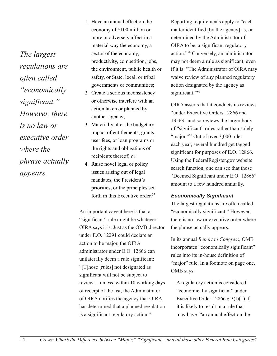*The largest regulations are often called "economically significant." However, there is no law or executive order where the phrase actually appears.*

- 1. Have an annual effect on the economy of \$100 million or more or adversely affect in a material way the economy, a sector of the economy, productivity, competition, jobs, the environment, public health or safety, or State, local, or tribal governments or communities;
- 2. Create a serious inconsistency or otherwise interfere with an action taken or planned by another agency;
- 3. Materially alter the budgetary impact of entitlements, grants, user fees, or loan programs or the rights and obligations of recipients thereof; or
- 4. Raise novel legal or policy issues arising out of legal mandates, the President's priorities, or the principles set forth in this Executive order.<sup>57</sup>

An important caveat here is that a "significant" rule might be whatever OIRA says it is. Just as the OMB director under E.O. 12291 could declare an action to be major, the OIRA administrator under E.O. 12866 can unilaterally deem a rule significant: "[T]hose [rules] not designated as significant will not be subject to review ... unless, within 10 working days of receipt of the list, the Administrator of OIRA notifies the agency that OIRA has determined that a planned regulation is a significant regulatory action."

Reporting requirements apply to "each matter identified [by the agency] as, or determined by the Administrator of OIRA to be, a significant regulatory action."58 Conversely, an administrator may not deem a rule as significant, even if it is: "The Administrator of OIRA may waive review of any planned regulatory action designated by the agency as significant."<sup>59</sup>

OIRA asserts that it conducts its reviews "under Executive Orders 12866 and 13563" and so reviews the larger body of "significant" rules rather than solely "major."<sup>60</sup> Out of over 3,000 rules each year, several hundred get tagged significant for purposes of E.O. 12866. Using the FederalRegister.gov website search function, one can see that those "Deemed Significant under E.O. 12866" amount to a few hundred annually.

### *Economically Significant*

The largest regulations are often called "economically significant." However, there is no law or executive order where the phrase actually appears.

In its annual *Report to Congress*, OMB incorporates "economically significant" rules into its in-house definition of "major" rule. In a footnote on page one, OMB says:

A regulatory action is considered "economically significant" under Executive Order 12866 § 3(f)(1) if it is likely to result in a rule that may have: "an annual effect on the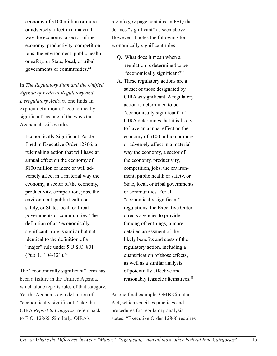economy of \$100 million or more or adversely affect in a material way the economy, a sector of the economy, productivity, competition, jobs, the environment, public health or safety, or State, local, or tribal governments or communities.<sup>61</sup>

In *The Regulatory Plan and the Unified Agenda of Federal Regulatory and Deregulatory Actions*, one finds an explicit definition of "economically significant" as one of the ways the Agenda classifies rules:

Economically Significant: As defined in Executive Order 12866, a rulemaking action that will have an annual effect on the economy of \$100 million or more or will adversely affect in a material way the economy, a sector of the economy, productivity, competition, jobs, the environment, public health or safety, or State, local, or tribal governments or communities. The definition of an "economically significant" rule is similar but not identical to the definition of a "major" rule under 5 U.S.C. 801 (Pub. L. 104-121).<sup>62</sup>

The "economically significant" term has been a fixture in the Unified Agenda, which alone reports rules of that category. Yet the Agenda's own definition of "economically significant," like the OIRA *Report to Congress*, refers back to E.O. 12866. Similarly, OIRA's

reginfo.gov page contains an FAQ that defines "significant" as seen above. However, it notes the following for economically significant rules:

- Q. What does it mean when a regulation is determined to be "economically significant?"
- A. These regulatory actions are a subset of those designated by OIRA as significant. A regulatory action is determined to be "economically significant" if OIRA determines that it is likely to have an annual effect on the economy of \$100 million or more or adversely affect in a material way the economy, a sector of the economy, productivity, competition, jobs, the environment, public health or safety, or State, local, or tribal governments or communities. For all "economically significant" regulations, the Executive Order directs agencies to provide (among other things) a more detailed assessment of the likely benefits and costs of the regulatory action, including a quantification of those effects, as well as a similar analysis of potentially effective and reasonably feasible alternatives.<sup>63</sup>

As one final example, OMB Circular A-4, which specifies practices and procedures for regulatory analysis, states: "Executive Order 12866 requires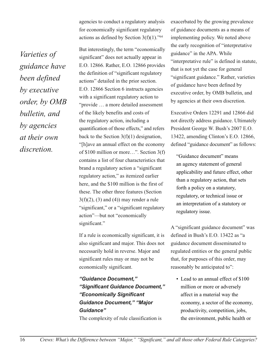agencies to conduct a regulatory analysis for economically significant regulatory actions as defined by Section  $3(f)(1)$ ."<sup>64</sup>

But interestingly, the term "economically significant" does not actually appear in E.O. 12866. Rather, E.O. 12866 provides the definition of "significant regulatory actions" detailed in the prior section. E.O. 12866 Section 6 instructs agencies with a significant regulatory action to "provide … a more detailed assessment of the likely benefits and costs of the regulatory action, including a quantification of those effects," and refers back to the Section  $3(f)(1)$  designation, "[h]ave an annual effect on the economy of \$100 million or more…". Section 3(f) contains a list of four characteristics that brand a regulatory action a "significant regulatory action," as itemized earlier here, and the \$100 million is the first of these. The other three features (Section  $3(f)(2)$ , (3) and (4)) may render a rule "significant," or a "significant regulatory action"—but not "economically significant."

If a rule is economically significant, it is also significant and major. This does not necessarily hold in reverse. Major and significant rules may or may not be economically significant.

*"Guidance Document," "Significant Guidance Document," "Economically Significant Guidance Document," "Major Guidance"*

The complexity of rule classification is

exacerbated by the growing prevalence of guidance documents as a means of implementing policy. We noted above the early recognition of "interpretative guidance" in the APA. While "interpretative rule" is defined in statute, that is not yet the case for general "significant guidance." Rather, varieties of guidance have been defined by executive order, by OMB bulletin, and by agencies at their own discretion.

Executive Orders 12291 and 12866 did not directly address guidance. Ultimately President George W. Bush's 2007 E.O. 13422, amending Clinton's E.O. 12866, defined "guidance document" as follows:

"Guidance document" means an agency statement of general applicability and future effect, other than a regulatory action, that sets forth a policy on a statutory, regulatory, or technical issue or an interpretation of a statutory or regulatory issue.

A "significant guidance document" was defined in Bush's E.O. 13422 as "a guidance document disseminated to regulated entities or the general public that, for purposes of this order, may reasonably be anticipated to":

• Lead to an annual effect of \$100 million or more or adversely affect in a material way the economy, a sector of the economy, productivity, competition, jobs, the environment, public health or

16 *Crews: What's the Difference between "Major," "Significant," and all those other Federal Rule Categories?*

*Varieties of guidance have been defined by executive order, by OMB bulletin, and by agencies at their own discretion.*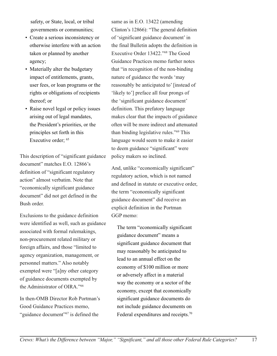safety, or State, local, or tribal governments or communities;

- Create a serious inconsistency or otherwise interfere with an action taken or planned by another agency;
- Materially alter the budgetary impact of entitlements, grants, user fees, or loan programs or the rights or obligations of recipients thereof; or
- Raise novel legal or policy issues arising out of legal mandates, the President's priorities, or the principles set forth in this Executive order; <sup>65</sup>

This description of "significant guidance document" matches E.O. 12866's definition of "significant regulatory action" almost verbatim. Note that "economically significant guidance document" did not get defined in the Bush order.

Exclusions to the guidance definition were identified as well, such as guidance associated with formal rulemakings, non-procurement related military or foreign affairs, and those "limited to agency organization, management, or personnel matters." Also notably exempted were "[a]ny other category of guidance documents exempted by the Administrator of OIRA."66

In then-OMB Director Rob Portman's Good Guidance Practices memo, "guidance document"<sup>67</sup> is defined the

same as in E.O. 13422 (amending Clinton's 12866): "The general definition of 'significant guidance document' in the final Bulletin adopts the definition in Executive Order 13422."68 The Good Guidance Practices memo further notes that "in recognition of the non-binding nature of guidance the words 'may reasonably be anticipated to' [instead of 'likely to'] preface all four prongs of the 'significant guidance document' definition. This prefatory language makes clear that the impacts of guidance often will be more indirect and attenuated than binding legislative rules."69 This language would seem to make it easier to deem guidance "significant" were policy makers so inclined.

And, unlike "economically significant" regulatory action, which is not named and defined in statute or executive order, the term "economically significant guidance document" did receive an explicit definition in the Portman GGP memo:

The term "economically significant guidance document" means a significant guidance document that may reasonably be anticipated to lead to an annual effect on the economy of \$100 million or more or adversely affect in a material way the economy or a sector of the economy, except that economically significant guidance documents do not include guidance documents on Federal expenditures and receipts.70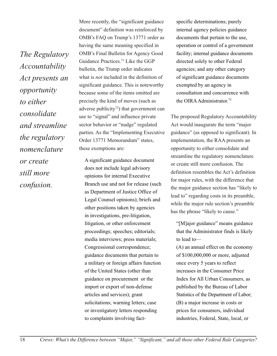*The Regulatory Accountability Act presents an opportunity to either consolidate and streamline the regulatory nomenclature or create still more confusion.*

More recently, the "significant guidance document" definition was reinforced by OMB's FAQ on Trump's 13771 order as having the same meaning specified in OMB's Final Bulletin for Agency Good Guidance Practices.71 Like the GGP bulletin, the Trump order indicates what is *not* included in the definition of significant guidance. This is noteworthy because some of the items omitted are precisely the kind of moves (such as adverse publicity<sup> $72$ </sup>) that government can use to "signal" and influence private sector behavior or "nudge" regulated parties. As the "Implementing Executive Order 13771 Memorandum" states, these exemptions are:

A significant guidance document does not include legal advisory opinions for internal Executive Branch use and not for release (such as Department of Justice Office of Legal Counsel opinions); briefs and other positions taken by agencies in investigations, pre-litigation, litigation, or other enforcement proceedings; speeches; editorials; media interviews; press materials; Congressional correspondence; guidance documents that pertain to a military or foreign affairs function of the United States (other than guidance on procurement or the import or export of non-defense articles and services); grant solicitations; warning letters; case or investigatory letters responding to complaints involving factspecific determinations; purely internal agency policies guidance documents that pertain to the use, operation or control of a government facility; internal guidance documents directed solely to other Federal agencies; and any other category of significant guidance documents exempted by an agency in consultation and concurrence with the OIRA Administrator.73

The proposed Regulatory Accountability Act would inaugurate the term "major guidance" (as opposed to significant). In implementation, the RAA presents an opportunity to either consolidate and streamline the regulatory nomenclature or create still more confusion. The definition resembles the Act's definition for major rules, with the difference that the major guidance section has "likely to lead to" regarding costs in its preamble, while the major rule section's preamble has the phrase "likely to cause."

"[M]ajor guidance" means guidance that the Administrator finds is likely to lead to—

(A) an annual effect on the economy of \$100,000,000 or more, adjusted once every 5 years to reflect increases in the Consumer Price Index for All Urban Consumers, as published by the Bureau of Labor Statistics of the Department of Labor; (B) a major increase in costs or prices for consumers, individual industries, Federal, State, local, or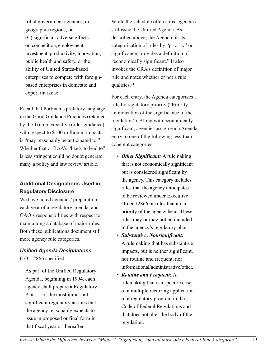tribal government agencies, or geographic regions; or (C) significant adverse effects on competition, employment, investment, productivity, innovation, public health and safety, or the ability of United States-based enterprises to compete with foreignbased enterprises in domestic and export markets;

Recall that Portman's prefatory language in the Good Guidance Practices (retained by the Trump executive order guidance) with respect to \$100 million in impacts is "may reasonably be anticipated to." Whether that or RAA's "likely to lead to" is less stringent could no doubt generate many a policy and law review article.

### **Additional Designations Used in Regulatory Disclosure**

We have noted agencies' preparation each year of a regulatory agenda, and GAO's responsibilities with respect to maintaining a database of major rules. Both these publications document still more agency rule categories.

### *Unified Agenda Designations*

E.O. 12866 specified:

As part of the Unified Regulatory Agenda, beginning in 1994, each agency shall prepare a Regulatory Plan … of the most important significant regulatory actions that the agency reasonably expects to issue in proposed or final form in that fiscal year or thereafter.

While the schedule often slips, agencies still issue the Unified Agenda. As described above, the Agenda, in its categorization of rules by "priority" or significance, provides a definition of "economically significant." It also invokes the CRA's definition of major rule and notes whether or not a rule qualifies.74

For each entry, the Agenda categorizes a rule by regulatory priority ("Priority an indication of the significance of the regulation"). Along with economically significant, agencies assign each Agenda entry to one of the following less-thancoherent categories:

- *Other Significant:* A rulemaking that is not economically significant but is considered significant by the agency. This category includes rules that the agency anticipates to be reviewed under Executive Order 12866 or rules that are a priority of the agency head. These rules may or may not be included in the agency's regulatory plan.
- *Substantive, Nonsignificant:* A rulemaking that has substantive impacts, but is neither significant, nor routine and frequent, nor informational/administrative/other.
- *Routine and Frequent:* A rulemaking that is a specific case of a multiple recurring application of a regulatory program in the Code of Federal Regulations and that does not alter the body of the regulation.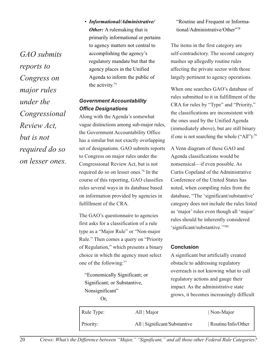*GAO submits reports to Congress on major rules under the Congressional Review Act, but is not required do so on lesser ones.* • *Informational/Administrative/ Other:* A rulemaking that is primarily informational or pertains to agency matters not central to accomplishing the agency's regulatory mandate but that the agency places in the Unified Agenda to inform the public of the activity.75

### *Government Accountability Office Designations*

Along with the Agenda's somewhat vague distinctions among sub-major rules, the Government Accountability Office has a similar but not exactly overlapping set of designations. GAO submits reports to Congress on major rules under the Congressional Review Act, but is not required do so on lesser ones.76 In the course of this reporting, GAO classifies rules several ways in its database based on information provided by agencies in fulfillment of the CRA.

The GAO's questionnaire to agencies first asks for a classification of a rule type as a "Major Rule" or "Non-major Rule." Then comes a query on "Priority of Regulation," which presents a binary choice in which the agency must select one of the following:77

"Economically Significant; or Significant; or Substantive, Nonsignificant" Or,

"Routine and Frequent or Informational/Administrative/Other"78

The items in the first category are self-contradictory. The second category mashes up allegedly routine rules affecting the private sector with those largely pertinent to agency operations.

When one searches GAO's database of rules submitted to it in fulfillment of the CRA for rules by "Type" and "Priority," the classifications are inconsistent with the ones used by the Unified Agenda (immediately above), but are still binary if one is not searching the whole ("All"):<sup>79</sup>

A Venn diagram of these GAO and Agenda classifications would be nonsensical—if even possible. As Curtis Copeland of the Administrative Conference of the United States has noted, when compiling rules from the database, "The 'significant/substantive' category does not include the rules listed as 'major' rules even though all 'major' rules should be inherently considered 'significant/substantive.'"80

#### **Conclusion**

A significant but artificially created obstacle to addressing regulatory overreach is not knowing what to call regulatory actions and gauge their impact. As the administrative state grows, it becomes increasingly difficult

| Rule Type: | All   Major                   | Non-Major          |
|------------|-------------------------------|--------------------|
| Priority:  | All   Significant/Substantive | Routine/Info/Other |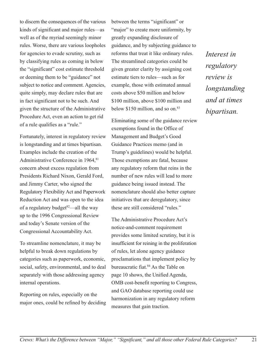to discern the consequences of the various kinds of significant and major rules—as well as of the myriad seemingly minor rules. Worse, there are various loopholes for agencies to evade scrutiny, such as by classifying rules as coming in below the "significant" cost estimate threshold or deeming them to be "guidance" not subject to notice and comment. Agencies, quite simply, may declare rules that are in fact significant not to be such. And given the structure of the Administrative Procedure Act, even an action to get rid of a rule qualifies as a "rule."

Fortunately, interest in regulatory review is longstanding and at times bipartisan. Examples include the creation of the Administrative Conference in 1964, 81 concern about excess regulation from Presidents Richard Nixon, Gerald Ford, and Jimmy Carter, who signed the Regulatory Flexibility Act and Paperwork Reduction Act and was open to the idea of a regulatory budget $82$ —all the way up to the 1996 Congressional Review and today's Senate version of the Congressional Accountability Act.

To streamline nomenclature, it may be helpful to break down regulations by categories such as paperwork, economic, social, safety, environmental, and to deal separately with those addressing agency internal operations.

Reporting on rules, especially on the major ones, could be refined by deciding between the terms "significant" or "major" to create more uniformity, by greatly expanding disclosure of guidance, and by subjecting guidance to reforms that treat it like ordinary rules. The streamlined categories could be given greater clarity by assigning cost estimate tiers to rules—such as for example, those with estimated annual costs above \$50 million and below \$100 million, above \$100 million and below  $$150$  million, and so on. $83$ 

Eliminating some of the guidance review exemptions found in the Office of Management and Budget's Good Guidance Practices memo (and in Trump's guidelines) would be helpful. Those exemptions are fatal, because any regulatory reform that reins in the number of new rules will lead to more guidance being issued instead. The nomenclature should also better capture initiatives that are deregulatory, since these are still considered "rules."

The Administrative Procedure Act's notice-and-comment requirement provides some limited scrutiny, but it is insufficient for reining in the proliferation of rules, let alone agency guidance proclamations that implement policy by bureaucratic fiat.84 As the Table on page 10 shows, the Unified Agenda, OMB cost-benefit reporting to Congress, and GAO database reporting could use harmonization in any regulatory reform measures that gain traction.

*Interest in regulatory review is longstanding and at times bipartisan.*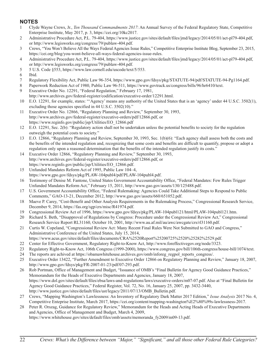### **NOTES**

- 1 Clyde Wayne Crews, Jr., *Ten Thousand Commandments 2017*: An Annual Survey of the Federal Regulatory State, Competitive Enterprise Institute, May 2017, p. 3, https://cei.org/10kc2017.
- 2 Administrative Procedure Act, P.L. 79-404, https://www.justice.gov/sites/default/files/jmd/legacy/2014/05/01/act-pl79-404.pdf, or http://www.legisworks.org/congress/79/publaw-404.pdf.
- 3 Crews, "You Won't Believe All the Ways Federal Agencies Issue Rules," Competitive Enterprise Institute Blog, September 23, 2015, https://cei.org/blog/you-wont-believe-all-ways-federal-agencies-issue-rules.
- 4 Administrative Procedure Act, P.L. 79-404, https://www.justice.gov/sites/default/files/jmd/legacy/2014/05/01/act-pl79-404.pdf, or http://www.legisworks.org/congress/79/publaw-404.pdf.
- 5 5 U.S. Code §553, https://www.law.cornell.edu/uscode/text/5/553.
- 6 Ibid.
- 7 Regulatory Flexibility Act, Public Law 96-354, https://www.gpo.gov/fdsys/pkg/STATUTE-94/pdf/STATUTE-94-Pg1164.pdf.
- 8 Paperwork Reduction Act of 1980, Public Law 96-511, https://www.govtrack.us/congress/bills/96/hr6410/text.
- 9 Executive Order No. 12291, "Federal Regulation," February 17, 1981, http://www.archives.gov/federal-register/codification/executive-order/12291.html.
- 10 E.O. 12291, for example, states: "'Agency' means any authority of the United States that is an 'agency' under 44 U.S.C. 3502(1), excluding those agencies specified in 44 U.S.C. 3502(10)."
- 11 Executive Order No. 12866, "Regulatory Planning and Review," September 30, 1993, http://www.archives.gov/federal-register/executive-orders/pdf/12866.pdf, or https://www.reginfo.gov/public/jsp/Utilities/EO\_12866.pdf
- 12 E.O. 12291, Sec. 2(b): "Regulatory action shall not be undertaken unless the potential benefits to society for the regulation outweigh the potential costs to society."
- 13 E.O. 12866, "Regulatory Planning and Review, September 30, 1993, Sec. 1(b)(6): "Each agency shall assess both the costs and the benefits of the intended regulation and, recognizing that some costs and benefits are difficult to quantify, propose or adopt a regulation only upon a reasoned determination that the benefits of the intended regulation justify its costs."
- 14 Executive Order 12866, "Regulatory Planning and Review," September 30, 1993, http://www.archives.gov/federal-register/executive-orders/pdf/12866.pdf, or https://www.reginfo.gov/public/jsp/Utilities/EO\_12866.pdf.
- 15 Unfunded Mandates Reform Act of 1995, Public Law 104–4, https://www.gpo.gov/fdsys/pkg/PLAW-104publ4/pdf/PLAW-104publ4.pdf.
- 16 Testimony of Denise M. Fantone, United States Government Accountability Office, "Federal Mandates: Few Rules Trigger Unfunded Mandates Reform Act," February 15, 2011, http://www.gao.gov/assets/130/125488.pdf.
- 17 U.S. Government Accountability Office, "Federal Rulemaking: Agencies Could Take Additional Steps to Respond to Public Comments," GAO-13-21, December 2012, http://www.gao.gov/assets/660/651052.pdf.
- 18 Maeve P. Carey, "Cost-Benefit and Other Analysis Requirements in the Rulemaking Process," Congressional Research Service, December 9, 2014, https://fas.org/sgp/crs/misc/R41974.pdf.
- 19 Congressional Review Act of 1996, https://www.gpo.gov/fdsys/pkg/PLAW-104publ121/html/PLAW-104publ121.htm.
- 20 Richard S. Beth, "Disapproval of Regulations by Congress: Procedure under the Congressional Review Act," Congressional Research Service Report RL31160, October 10, 2001, http://www.au.af.mil/au/awc/awcgate/crs/rl31160.pdf.
- 21 Curtis W. Copeland, "Congressional Review Act: Many Recent Final Rules Were Not Submitted to GAO and Congress," Administrative Conference of the United States, July 15, 2014,
- https://www.acus.gov/sites/default/files/documents/CRA%2520Report%25200725%2520%25282%2529.pdf.
- 22 Center for Effective Government, Regulatory Right-to-Know Act, http://www.foreffectivegov.org/node/3323.
- 23 Regulatory Right-to-Know Act, 106th Congress (1999-2000), https://www.congress.gov/bill/106th-congress/house-bill/1074/text.
- 24 The reports are achived at https://obamawhitehouse.archives.gov/omb/inforeg\_regpol\_reports\_congress/.
- 25 Executive Order 13422, "Further Amendment to Executive Order 12866 on Regulatory Planning and Review," January 18, 2007, http://www.gpo.gov/fdsys/pkg/FR-2007-01-23/pdf/07-293.pdf.
- 26 Rob Portman, Office of Management and Budget, "Issuance of OMB's "Final Bulletin for Agency Good Guidance Practices," Memorandum for the Heads of Executive Departments and Agencies, January 18, 2007, https://www.dol.gov/sites/default/files/ebsa/laws-and-regulations/laws/executive-orders/m07-07.pdf. Also at "Final Bulletin for Agency Good Guidance Practices," Federal Register, Vol. 72, No. 16, January 25, 2007, pp. 3432-3440, http://www.justice.gov/sites/default/files/ust/legacy/2011/07/13/OMB\_Bulletin.pdf.
- 27 Crews, "Mapping Washington's Lawlessness: An Inventory of Regulatory Dark Matter 2017 Edition," *Issue Analysis* 2017 No. 4, Competitive Enteprise Institute, March 2017, https://cei.org/content/mapping-washington%E2%80%99s-lawlessness-2017.
- 28 Peter R. Orszag, Guidance for Regulatory Review," Memorandum for the Heads and Acting Heads of Executive Departments and Agencies, Office of Management and Budget, March 4, 2009,

https://www.whitehouse.gov/sites/default/files/omb/assets/memoranda\_fy2009/m09-13.pdf.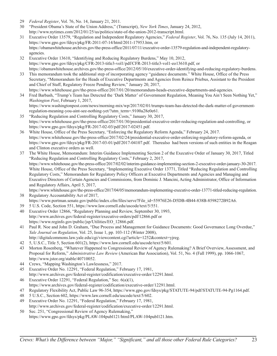- 29 *Federal Register*, Vol. 76, No. 14, January 21, 2011.
- 30 "President Obama's State of the Union Address," (Transcript), *New York Times*, January 24, 2012, http://www.nytimes.com/2012/01/25/us/politics/state-of-the-union-2012-transcript.html.
- 31 Executive Order 13579, "Regulation and Independent Regulatory Agencies," *Federal Register*, Vol. 76, No. 135 (July 14, 2011), https://www.gpo.gov/fdsys/pkg/FR-2011-07-14/html/2011-17953.htm, or https://obamawhitehouse.archives.gov/the-press-office/2011/07/11/executive-order-13579-regulation-and-independent-regulatoryagencies.
- 32 Executive Order 13610, "Identifying and Reducing Regulatory Burdens," May 10, 2012, https://www.gpo.gov/fdsys/pkg/CFR-2013-title3-vol1/pdf/CFR-2013-title3-vol1-eo13610.pdf, or https://obamawhitehouse.archives.gov/the-press-office/2012/05/10/executive-order-identifying-and-reducing-regulatory-burdens.
- 33 This memorandum took the additional step of incorporating agency "guidance documents." White House, Office of the Press Secretary, "Memorandum for the Heads of Executive Departments and Agencies from Reince Priebus, Assistant to the President and Chief of Staff, Regulatory Freeze Pending Review," January 20, 2017, https://www.whitehouse.gov/the-press-office/2017/01/20/memorandum-heads-executive-departments-and-agencies.
- 34 Fred Barbash, "Trump's Team has Detected the 'Dark Matter' of Government Regulation, Meaning You Ain't Seen Nothing Yet," *Washington Post*, February 1, 2017, https://www.washingtonpost.com/news/morning-mix/wp/2017/02/01/trumps-team-has-detected-the-dark-matter-of-government-

regulation-meaning-you-aint-see-nothing-yet/?utm\_term=.9100a28e0e61. 35 "Reducing Regulation and Controlling Regulatory Costs," January 30, 2017,

- https://www.whitehouse.gov/the-press-office/2017/01/30/presidential-executive-order-reducing-regulation-and-controlling, or https://www.gpo.gov/fdsys/pkg/FR-2017-02-03/pdf/2017-02451.pdf.
- 36 White House, Office of the Press Secretary, "Enforcing the Regulatory Reform Agenda," February 24, 2017. https://www.whitehouse.gov/the-press-office/2017/02/24/presidential-executive-order-enforcing-regulatory-reform-agenda, or https://www.gpo.gov/fdsys/pkg/FR-2017-03-01/pdf/2017-04107.pdf. Therealso had been versions of such entities in the Reagan and Clinton executive orders as well.
- 37 The White House, Memorandum: Interim Guidance Implementing Section 2 of the Executive Order of January 30, 2017, Titled "Reducing Regulation and Controlling Regulatory Costs," February 2, 2017, https://www.whitehouse.gov/the-press-office/2017/02/02/interim-guidance-implementing-section-2-executive-order-january-30-2017. White House, Office of the Press Secretary, "Implementing Executive Order 13771, Titled "Reducing Regulation and Controlling Regulatory Costs," Memorandum for Regulatory Policy Officers at Executive Departments and Agencies and Managing and Executive Directors of Certain Agencies and Commissions, from Dominic J. Mancini, Acting Administrator, Office of Information and Regulatory Affairs, April 5, 2017,

https://www.whitehouse.gov/the-press-office/2017/04/05/memorandum-implementing-executive-order-13771-titled-reducing-regulation. 38 Regulatory Accountability Act of 2017,

- https://www.portman.senate.gov/public/index.cfm/files/serve?File\_id=55976E26-D5DB-4B44-838B-8598272B92A6.
- 39 5 U.S. Code, Section 551, https://www.law.cornell.edu/uscode/text/5/551.
- 40 Executive Order 12866, "Regulatory Planning and Review, September 30, 1993, http://www.archives.gov/federal-register/executive-orders/pdf/12866.pdf or https://www.reginfo.gov/public/jsp/Utilities/EO\_12866.pdf.
- 41 Paul R. Noe and John D. Graham, "Due Process and Management for Guidance Documents: Good Governance Long Overdue," *Yale Journal on Regulation*, Vol. 25, Issue 1, pp. 103-112 (Winter 2008), http://digitalcommons.law.yale.edu/cgi/viewcontent.cgi?article=1252&context=yjreg.
- 42 5, U.S.C., Title 5, Section 601(2), https://www.law.cornell.edu/uscode/text/5/601.
- 43 Morton Rosenberg, "Whatever Happened to Congressional Review of Agency Rulemaking? A Brief Overview, Assessment, and Proposal for Reform," *Administrative Law Review* (American Bar Association), Vol. 51, No. 4 (Fall 1999), pp. 1066-1067, http://www.jstor.org/stable/40710052.
- 44 Crews, "Mapping Washington's Lawlessness," 2017.
- 45 Executive Order No. 12291, "Federal Regulation," February 17, 1981, http://www.archives.gov/federal-register/codification/executive-order/12291.html.
- 46 Executive Order 12291, "Federal Regulation," Sec. 6(a)(1), https://www.archives.gov/federal-register/codification/executive-order/12291.html.
- 47 Regulatory Flexibility Act, Public Law 96-354, https://www.gpo.gov/fdsys/pkg/STATUTE-94/pdf/STATUTE-94-Pg1164.pdf.
- 48 5 U.S.C., Section 602, https://www.law.cornell.edu/uscode/text/5/602.
- 49 Executive Order No. 12291, "Federal Regulation," February 17, 1981, http://www.archives.gov/federal-register/codification/executive-order/12291.html.
- 50 Sec. 251, "Congressional Review of Agency Rulemaking," https://www.gpo.gov/fdsys/pkg/PLAW-104publ121/html/PLAW-104publ121.htm.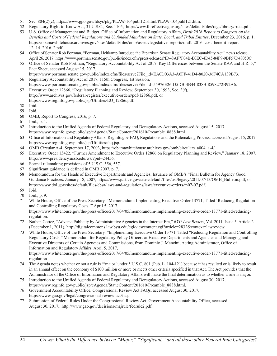- 51 Sec. 804(2)(c), https://www.gpo.gov/fdsys/pkg/PLAW-104publ121/html/PLAW-104publ121.htm.
- 52 Regulatory Right-to-Know Act, 31 U.S.C., Sec. 1105, http://www.foreffectivegov.org/sites/default/files/regs/library/rrtka.pdf.
- 53 U.S. Office of Management and Budget, Office of Information and Regulatory Affairs, *Draft 2016 Report to Congress on the Benefits and Costs of Federal Regulations and Unfunded Mandates on State, Local, and Tribal Entities*, December 23, 2016, p. 1. https://obamawhitehouse.archives.gov/sites/default/files/omb/assets/legislative\_reports/draft\_2016\_cost\_benefit\_report 12\_14\_2016\_2.pdf .
- 54 Office of Senator Rob Portman, "Portman, Heitkamp Introduce the Bipartisan Senate Regulatory Accountability Act," news release, April 26, 2017, https://www.portman.senate.gov/public/index.cfm/press-releases?ID=8AF7F04B-E0EC-4D45-84F9-9BF57D48050C.
- 55 Office of Senator Rob Portman, "Regulatory Accountability Act of 2017, Key Differences between the Senate RAA and H.R. 5," Fact Sheet, accessed August 15, 2017,
- https://www.portman.senate.gov/public/index.cfm/files/serve?File\_id=EA0D03A3-A6FF-41D4-8020-36F4CA139B73. 56 Regulatory Accountability Act of 2017, 115th Congress, 1st Session,
- https://www.portman.senate.gov/public/index.cfm/files/serve?File\_id=55976E26-D5DB-4B44-838B-8598272B92A6. 57 Executive Order 12866, "Regulatory Planning and Review, September 30, 1993, Sec. 3(f),
- http://www.archives.gov/federal-register/executive-orders/pdf/12866.pdf, or https://www.reginfo.gov/public/jsp/Utilities/EO\_12866.pdf.
- 58 Ibid.
- 59 Ibid.
- 60 OMB, Report to Congress, 2016, p. 7.
- 61 Ibid., p. 1.
- 62 Introduction to the Unified Agenda of Federal Regulatory and Deregulatory Actions, accessed August 15, 2017, https://www.reginfo.gov/public/jsp/eAgenda/StaticContent/201610/Preamble\_8888.html
- 63 Office of Information and Regulatory Affairs, Reginfo.gov FAQ, Regulations and the Rulemaking Process, accessed August 15, 2017, https://www.reginfo.gov/public/jsp/Utilities/faq.jsp.
- 64 OMB Circular A-4, September 17, 2003, https://obamawhitehouse.archives.gov/omb/circulars\_a004\_a-4/.
- 65 Executive Order 13422, "Further Amendment to Executive Order 12866 on Regulatory Planning and Review," January 18, 2007, http://www.presidency.ucsb.edu/ws/?pid=24456.
- 66 Formal rulemaking provisions of 5 U.S.C. 556, 557.
- 67 Significant guidance is defined in OMB 2007, p. 7.
- 68 Memorandum for the Heads of Executive Departments and Agencies, Issuance of OMB's "Final Bulletin for Agency Good Guidance Practices. January 18, 2007, https://www.justice.gov/sites/default/files/ust/legacy/2011/07/13/OMB\_Bulletin.pdf, or https://www.dol.gov/sites/default/files/ebsa/laws-and-regulations/laws/executive-orders/m07-07.pdf.
- 69 Ibid.
- 70 Ibid., p. 9.
- 71 White House, Office of the Press Secretary, "Memorandum: Implementing Executive Order 13771, Titled 'Reducing Regulation and Controlling Regulatory Costs,'" April 5, 2017,

https://www.whitehouse.gov/the-press-office/2017/04/05/memorandum-implementing-executive-order-13771-titled-reducingregulation.

- 72 Nathan Cortez, "Adverse Publicity by Administrative Agencies in the Internet Era," *BYU Law Review*, Vol. 2011, Issue 5, Article 2 (December 1, 2011), http://digitalcommons.law.byu.edu/cgi/viewcontent.cgi?article=2832&context=lawreview.
- 73 White House, Office of the Press Secretary, "Implementing Executive Order 13771, Titled "Reducing Regulation and Controlling Regulatory Costs," Memorandum for Regulatory Policy Officers at Executive Departments and Agencies and Managing and Executive Directors of Certain Agencies and Commissions, from Dominic J. Mancini, Acting Administrator, Office of Information and Regulatory Affairs, April 5, 2017,

https://www.whitehouse.gov/the-press-office/2017/04/05/memorandum-implementing-executive-order-13771-titled-reducingregulation.

- 74 The Agenda notes whether or not a rule is "'major' under 5 U.S.C. 801 (Pub. L. 104-121) because it has resulted or is likely to result in an annual effect on the economy of \$100 million or more or meets other criteria specified in that Act. The Act provides that the Administrator of the Office of Information and Regulatory Affairs will make the final determination as to whether a rule is major.
- 75 Introduction to the Unified Agenda of Federal Regulatory and Deregulatory Actions, accessed August 30, 2017, https://www.reginfo.gov/public/jsp/eAgenda/StaticContent/201610/Preamble\_8888.html.
- 76 Government Accountability Office, Congressional Review Act FAQs, accessed August 30, 2017, https://www.gao.gov/legal/congressional-review-act/faq.
- 77 Submission of Federal Rules Under the Congressional Review Act, Government Accountability Office, accessed August 30, 2017,. http://www.gao.gov/decisions/majrule/fedrule2.pdf.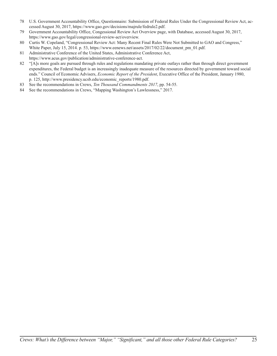- 78 U.S. Government Accountability Office, Questionnaire: Submission of Federal Rules Under the Congressional Review Act, accessed August 30, 2017, https://www.gao.gov/decisions/majrule/fedrule2.pdf.
- 79 Government Accountability Office, Congessional Review Act Overview page, with Database, accessed August 30, 2017, https://www.gao.gov/legal/congressional-review-act/overview.
- 80 Curtis W. Copeland, "Congressional Review Act: Many Recent Final Rules Were Not Submitted to GAO and Congress," White Paper, July 15, 2014. p. 53, https://www.eenews.net/assets/2017/02/22/document\_pm\_01.pdf.
- 81 Administrative Conference of the United States, Administrative Conference Act, https://www.acus.gov/publication/administrative-conference-act.
- 82 "[A]s more goals are pursued through rules and regulations mandating private outlays rather than through direct government expenditures, the Federal budget is an increasingly inadequate measure of the resources directed by government toward social ends." Council of Economic Advisers, *Economic Report of the President*, Executive Office of the President, January 1980, p. 125, http://www.presidency.ucsb.edu/economic\_reports/1980.pdf.
- 83 See the recommendations in Crews, *Ten Thousand Commandments 2017*, pp. 54-55.
- 84 See the recommendations in Crews, "Mapping Washington's Lawlessness," 2017.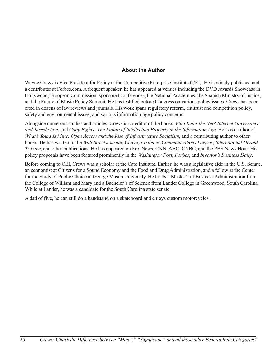### **About the Author**

Wayne Crews is Vice President for Policy at the Competitive Enterprise Institute (CEI). He is widely published and a contributor at Forbes.com. A frequent speaker, he has appeared at venues including the DVD Awards Showcase in Hollywood, European Commission–sponsored conferences, the National Academies, the Spanish Ministry of Justice, and the Future of Music Policy Summit. He has testified before Congress on various policy issues. Crews has been cited in dozens of law reviews and journals. His work spans regulatory reform, antitrust and competition policy, safety and environmental issues, and various information-age policy concerns.

Alongside numerous studies and articles, Crews is co-editor of the books, *Who Rules the Net? Internet Governance and Jurisdiction*, and *Copy Fights: The Future of Intellectual Property in the Information Age*. He is co-author of *What's Yours Is Mine: Open Access and the Rise of Infrastructure Socialism*, and a contributing author to other books. He has written in the *Wall Street Journal*, *Chicago Tribune*, *Communications Lawyer*, *International Herald Tribune*, and other publications. He has appeared on Fox News, CNN, ABC, CNBC, and the PBS News Hour. His policy proposals have been featured prominently in the *Washington Post*, *Forbes*, and *Investor's Business Daily*.

Before coming to CEI, Crews was a scholar at the Cato Institute. Earlier, he was a legislative aide in the U.S. Senate, an economist at Citizens for a Sound Economy and the Food and Drug Administration, and a fellow at the Center for the Study of Public Choice at George Mason University. He holds a Master's of Business Administration from the College of William and Mary and a Bachelor's of Science from Lander College in Greenwood, South Carolina. While at Lander, he was a candidate for the South Carolina state senate.

A dad of five, he can still do a handstand on a skateboard and enjoys custom motorcycles.